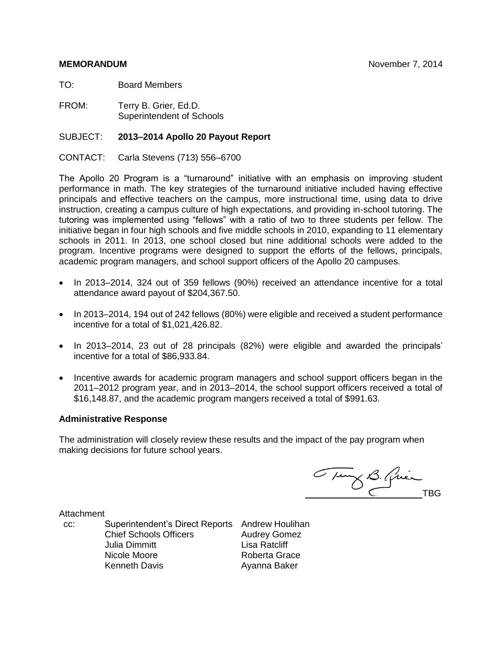TO: Board Members

FROM: Terry B. Grier, Ed.D. Superintendent of Schools

#### SUBJECT: **2013–2014 Apollo 20 Payout Report**

CONTACT: Carla Stevens (713) 556–6700

The Apollo 20 Program is a "turnaround" initiative with an emphasis on improving student performance in math. The key strategies of the turnaround initiative included having effective principals and effective teachers on the campus, more instructional time, using data to drive instruction, creating a campus culture of high expectations, and providing in-school tutoring. The tutoring was implemented using "fellows" with a ratio of two to three students per fellow. The initiative began in four high schools and five middle schools in 2010, expanding to 11 elementary schools in 2011. In 2013, one school closed but nine additional schools were added to the program. Incentive programs were designed to support the efforts of the fellows, principals, academic program managers, and school support officers of the Apollo 20 campuses.

- In 2013–2014, 324 out of 359 fellows (90%) received an attendance incentive for a total attendance award payout of \$204,367.50.
- In 2013–2014, 194 out of 242 fellows (80%) were eligible and received a student performance incentive for a total of \$1,021,426.82.
- In 2013–2014, 23 out of 28 principals (82%) were eligible and awarded the principals' incentive for a total of \$86,933.84.
- Incentive awards for academic program managers and school support officers began in the 2011–2012 program year, and in 2013–2014, the school support officers received a total of \$16,148.87, and the academic program mangers received a total of \$991.63.

#### **Administrative Response**

The administration will closely review these results and the impact of the pay program when making decisions for future school years.

Tuny B. Quincomment

**Attachment** 

cc: Superintendent's Direct Reports Andrew Houlihan Chief Schools Officers **Audrey Gomez** Julia Dimmitt Lisa Ratcliff Nicole Moore Kenneth Davis

Roberta Grace Ayanna Baker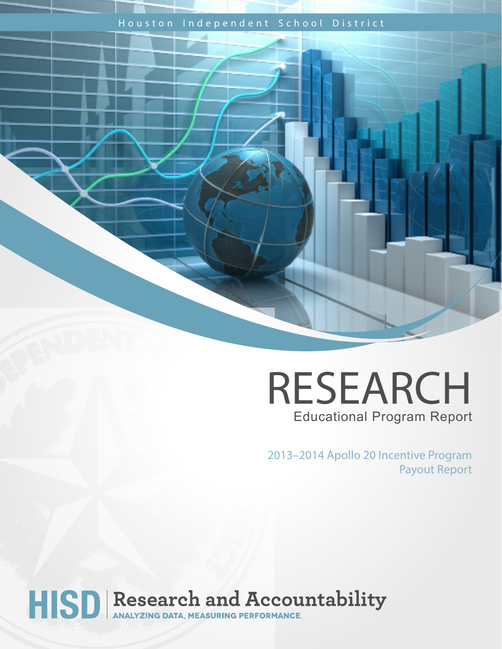# Houston Independent School District



2013–2014 Apollo 20 Incentive Program Payout Report

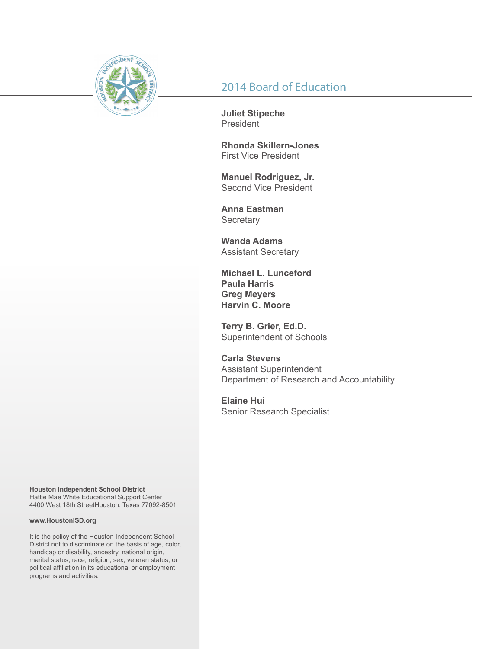

# 2014 Board of Education

**Juliet Stipeche** President

**Rhonda Skillern-Jones** First Vice President

**Manuel Rodriguez, Jr.** Second Vice President

**Anna Eastman Secretary** 

**Wanda Adams** Assistant Secretary

**Michael L. Lunceford Paula Harris Greg Meyers Harvin C. Moore**

**Terry B. Grier, Ed.D.** Superintendent of Schools

**Carla Stevens** Assistant Superintendent Department of Research and Accountability

**Elaine Hui** Senior Research Specialist

**Houston Independent School District** Hattie Mae White Educational Support Center 4400 West 18th StreetHouston, Texas 77092-8501

#### **www.HoustonISD.org**

It is the policy of the Houston Independent School District not to discriminate on the basis of age, color, handicap or disability, ancestry, national origin, marital status, race, religion, sex, veteran status, or political affiliation in its educational or employment programs and activities.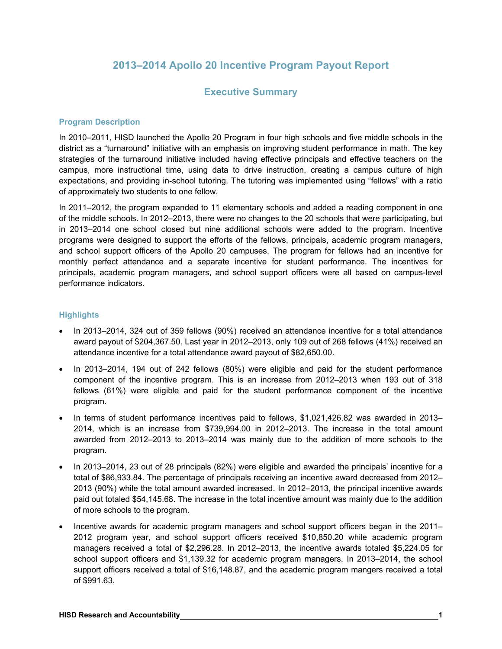# **2013–2014 Apollo 20 Incentive Program Payout Report**

### **Executive Summary**

#### **Program Description**

In 2010–2011, HISD launched the Apollo 20 Program in four high schools and five middle schools in the district as a "turnaround" initiative with an emphasis on improving student performance in math. The key strategies of the turnaround initiative included having effective principals and effective teachers on the campus, more instructional time, using data to drive instruction, creating a campus culture of high expectations, and providing in-school tutoring. The tutoring was implemented using "fellows" with a ratio of approximately two students to one fellow.

In 2011–2012, the program expanded to 11 elementary schools and added a reading component in one of the middle schools. In 2012–2013, there were no changes to the 20 schools that were participating, but in 2013–2014 one school closed but nine additional schools were added to the program. Incentive programs were designed to support the efforts of the fellows, principals, academic program managers, and school support officers of the Apollo 20 campuses. The program for fellows had an incentive for monthly perfect attendance and a separate incentive for student performance. The incentives for principals, academic program managers, and school support officers were all based on campus-level performance indicators.

#### **Highlights**

- In 2013–2014, 324 out of 359 fellows (90%) received an attendance incentive for a total attendance award payout of \$204,367.50. Last year in 2012–2013, only 109 out of 268 fellows (41%) received an attendance incentive for a total attendance award payout of \$82,650.00.
- In 2013–2014, 194 out of 242 fellows (80%) were eligible and paid for the student performance component of the incentive program. This is an increase from 2012–2013 when 193 out of 318 fellows (61%) were eligible and paid for the student performance component of the incentive program.
- In terms of student performance incentives paid to fellows, \$1,021,426.82 was awarded in 2013– 2014, which is an increase from \$739,994.00 in 2012–2013. The increase in the total amount awarded from 2012–2013 to 2013–2014 was mainly due to the addition of more schools to the program.
- In 2013–2014, 23 out of 28 principals (82%) were eligible and awarded the principals' incentive for a total of \$86,933.84. The percentage of principals receiving an incentive award decreased from 2012– 2013 (90%) while the total amount awarded increased. In 2012–2013, the principal incentive awards paid out totaled \$54,145.68. The increase in the total incentive amount was mainly due to the addition of more schools to the program.
- Incentive awards for academic program managers and school support officers began in the 2011– 2012 program year, and school support officers received \$10,850.20 while academic program managers received a total of \$2,296.28. In 2012–2013, the incentive awards totaled \$5,224.05 for school support officers and \$1,139.32 for academic program managers. In 2013–2014, the school support officers received a total of \$16,148.87, and the academic program mangers received a total of \$991.63.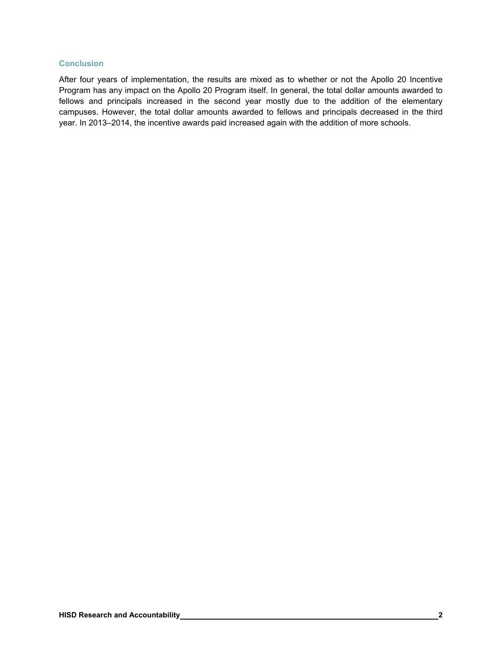#### **Conclusion**

After four years of implementation, the results are mixed as to whether or not the Apollo 20 Incentive Program has any impact on the Apollo 20 Program itself. In general, the total dollar amounts awarded to fellows and principals increased in the second year mostly due to the addition of the elementary campuses. However, the total dollar amounts awarded to fellows and principals decreased in the third year. In 2013–2014, the incentive awards paid increased again with the addition of more schools.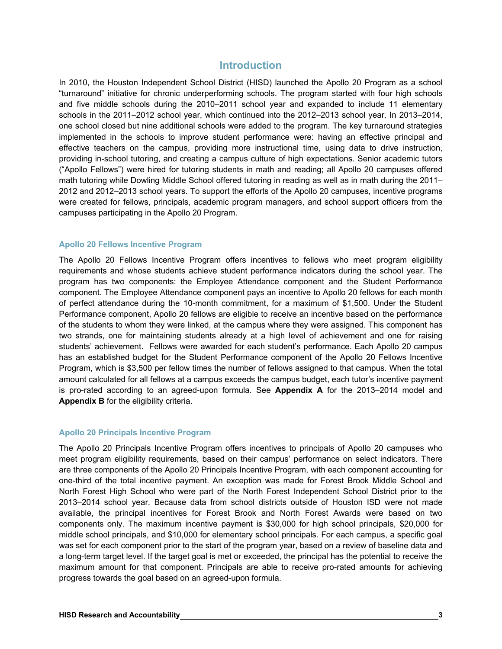### **Introduction**

In 2010, the Houston Independent School District (HISD) launched the Apollo 20 Program as a school "turnaround" initiative for chronic underperforming schools. The program started with four high schools and five middle schools during the 2010–2011 school year and expanded to include 11 elementary schools in the 2011–2012 school year, which continued into the 2012–2013 school year. In 2013–2014, one school closed but nine additional schools were added to the program. The key turnaround strategies implemented in the schools to improve student performance were: having an effective principal and effective teachers on the campus, providing more instructional time, using data to drive instruction, providing in-school tutoring, and creating a campus culture of high expectations. Senior academic tutors ("Apollo Fellows") were hired for tutoring students in math and reading; all Apollo 20 campuses offered math tutoring while Dowling Middle School offered tutoring in reading as well as in math during the 2011– 2012 and 2012–2013 school years. To support the efforts of the Apollo 20 campuses, incentive programs were created for fellows, principals, academic program managers, and school support officers from the campuses participating in the Apollo 20 Program.

#### **Apollo 20 Fellows Incentive Program**

The Apollo 20 Fellows Incentive Program offers incentives to fellows who meet program eligibility requirements and whose students achieve student performance indicators during the school year. The program has two components: the Employee Attendance component and the Student Performance component. The Employee Attendance component pays an incentive to Apollo 20 fellows for each month of perfect attendance during the 10-month commitment, for a maximum of \$1,500. Under the Student Performance component, Apollo 20 fellows are eligible to receive an incentive based on the performance of the students to whom they were linked, at the campus where they were assigned. This component has two strands, one for maintaining students already at a high level of achievement and one for raising students' achievement. Fellows were awarded for each student's performance. Each Apollo 20 campus has an established budget for the Student Performance component of the Apollo 20 Fellows Incentive Program, which is \$3,500 per fellow times the number of fellows assigned to that campus. When the total amount calculated for all fellows at a campus exceeds the campus budget, each tutor's incentive payment is pro-rated according to an agreed-upon formula. See **Appendix A** for the 2013–2014 model and **Appendix B** for the eligibility criteria.

#### **Apollo 20 Principals Incentive Program**

The Apollo 20 Principals Incentive Program offers incentives to principals of Apollo 20 campuses who meet program eligibility requirements, based on their campus' performance on select indicators. There are three components of the Apollo 20 Principals Incentive Program, with each component accounting for one-third of the total incentive payment. An exception was made for Forest Brook Middle School and North Forest High School who were part of the North Forest Independent School District prior to the 2013–2014 school year. Because data from school districts outside of Houston ISD were not made available, the principal incentives for Forest Brook and North Forest Awards were based on two components only. The maximum incentive payment is \$30,000 for high school principals, \$20,000 for middle school principals, and \$10,000 for elementary school principals. For each campus, a specific goal was set for each component prior to the start of the program year, based on a review of baseline data and a long-term target level. If the target goal is met or exceeded, the principal has the potential to receive the maximum amount for that component. Principals are able to receive pro-rated amounts for achieving progress towards the goal based on an agreed-upon formula.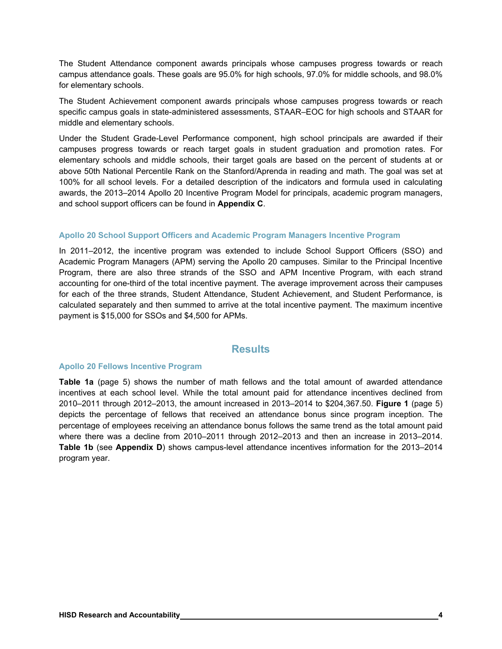The Student Attendance component awards principals whose campuses progress towards or reach campus attendance goals. These goals are 95.0% for high schools, 97.0% for middle schools, and 98.0% for elementary schools.

The Student Achievement component awards principals whose campuses progress towards or reach specific campus goals in state-administered assessments, STAAR–EOC for high schools and STAAR for middle and elementary schools.

Under the Student Grade-Level Performance component, high school principals are awarded if their campuses progress towards or reach target goals in student graduation and promotion rates. For elementary schools and middle schools, their target goals are based on the percent of students at or above 50th National Percentile Rank on the Stanford/Aprenda in reading and math. The goal was set at 100% for all school levels. For a detailed description of the indicators and formula used in calculating awards, the 2013–2014 Apollo 20 Incentive Program Model for principals, academic program managers, and school support officers can be found in **Appendix C**.

#### **Apollo 20 School Support Officers and Academic Program Managers Incentive Program**

In 2011–2012, the incentive program was extended to include School Support Officers (SSO) and Academic Program Managers (APM) serving the Apollo 20 campuses. Similar to the Principal Incentive Program, there are also three strands of the SSO and APM Incentive Program, with each strand accounting for one-third of the total incentive payment. The average improvement across their campuses for each of the three strands, Student Attendance, Student Achievement, and Student Performance, is calculated separately and then summed to arrive at the total incentive payment. The maximum incentive payment is \$15,000 for SSOs and \$4,500 for APMs.

#### **Results**

#### **Apollo 20 Fellows Incentive Program**

**Table 1a** (page 5) shows the number of math fellows and the total amount of awarded attendance incentives at each school level. While the total amount paid for attendance incentives declined from 2010–2011 through 2012–2013, the amount increased in 2013–2014 to \$204,367.50. **Figure 1** (page 5) depicts the percentage of fellows that received an attendance bonus since program inception. The percentage of employees receiving an attendance bonus follows the same trend as the total amount paid where there was a decline from 2010–2011 through 2012–2013 and then an increase in 2013–2014. **Table 1b** (see **Appendix D**) shows campus-level attendance incentives information for the 2013–2014 program year.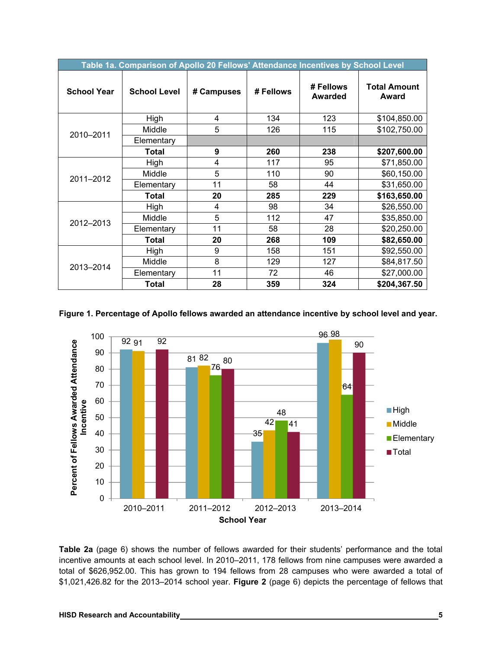|                    | Table 1a. Comparison of Apollo 20 Fellows' Attendance Incentives by School Level |            |           |                             |                              |  |  |  |  |
|--------------------|----------------------------------------------------------------------------------|------------|-----------|-----------------------------|------------------------------|--|--|--|--|
| <b>School Year</b> | <b>School Level</b>                                                              | # Campuses | # Fellows | # Fellows<br><b>Awarded</b> | <b>Total Amount</b><br>Award |  |  |  |  |
|                    | High                                                                             | 4          | 134       | 123                         | \$104,850.00                 |  |  |  |  |
| 2010-2011          | Middle                                                                           | 5          | 126       | 115                         | \$102,750.00                 |  |  |  |  |
|                    | Elementary                                                                       |            |           |                             |                              |  |  |  |  |
|                    | <b>Total</b>                                                                     | 9          | 260       | 238                         | \$207,600.00                 |  |  |  |  |
|                    | High                                                                             | 4          | 117       | 95                          | \$71,850.00                  |  |  |  |  |
| 2011-2012          | Middle                                                                           | 5          | 110       | 90                          | \$60,150.00                  |  |  |  |  |
|                    | Elementary                                                                       | 11         | 58        | 44                          | \$31,650.00                  |  |  |  |  |
|                    | <b>Total</b>                                                                     | 20         | 285       | 229                         | \$163,650.00                 |  |  |  |  |
|                    | High                                                                             | 4          | 98        | 34                          | \$26,550.00                  |  |  |  |  |
| 2012-2013          | Middle                                                                           | 5          | 112       | 47                          | \$35,850.00                  |  |  |  |  |
|                    | Elementary                                                                       | 11         | 58        | 28                          | \$20,250.00                  |  |  |  |  |
|                    | Total                                                                            | 20         | 268       | 109                         | \$82,650.00                  |  |  |  |  |
|                    | High                                                                             | 9          | 158       | 151                         | \$92,550.00                  |  |  |  |  |
| 2013-2014          | Middle                                                                           | 8          | 129       | 127                         | \$84,817.50                  |  |  |  |  |
|                    | Elementary                                                                       | 11         | 72        | 46                          | \$27,000.00                  |  |  |  |  |
|                    | Total                                                                            | 28         | 359       | 324                         | \$204,367.50                 |  |  |  |  |

**Figure 1. Percentage of Apollo fellows awarded an attendance incentive by school level and year.** 



**Table 2a** (page 6) shows the number of fellows awarded for their students' performance and the total incentive amounts at each school level. In 2010–2011, 178 fellows from nine campuses were awarded a total of \$626,952.00. This has grown to 194 fellows from 28 campuses who were awarded a total of \$1,021,426.82 for the 2013–2014 school year. **Figure 2** (page 6) depicts the percentage of fellows that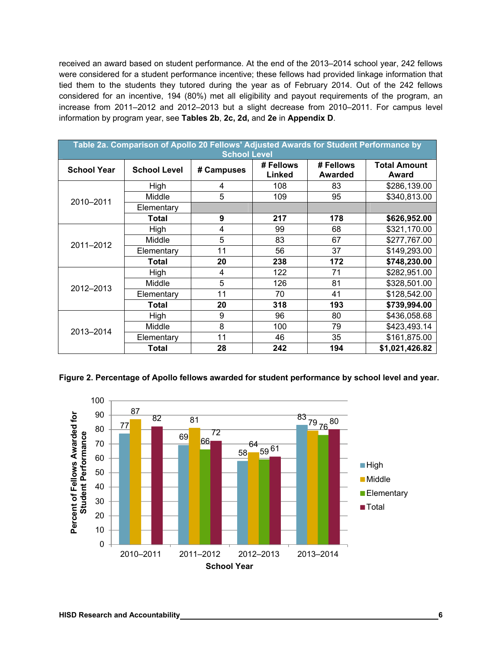received an award based on student performance. At the end of the 2013–2014 school year, 242 fellows were considered for a student performance incentive; these fellows had provided linkage information that tied them to the students they tutored during the year as of February 2014. Out of the 242 fellows considered for an incentive, 194 (80%) met all eligibility and payout requirements of the program, an increase from 2011–2012 and 2012–2013 but a slight decrease from 2010–2011. For campus level information by program year, see **Tables 2b**, **2c, 2d,** and **2e** in **Appendix D**.

|                    | Table 2a. Comparison of Apollo 20 Fellows' Adjusted Awards for Student Performance by<br><b>School Level</b> |            |                     |                             |                              |  |  |  |
|--------------------|--------------------------------------------------------------------------------------------------------------|------------|---------------------|-----------------------------|------------------------------|--|--|--|
| <b>School Year</b> | <b>School Level</b>                                                                                          | # Campuses | # Fellows<br>Linked | # Fellows<br><b>Awarded</b> | <b>Total Amount</b><br>Award |  |  |  |
|                    | High                                                                                                         | 4          | 108                 | 83                          | \$286,139.00                 |  |  |  |
| 2010-2011          | Middle                                                                                                       | 5          | 109                 | 95                          | \$340,813.00                 |  |  |  |
|                    | Elementary                                                                                                   |            |                     |                             |                              |  |  |  |
|                    | Total                                                                                                        | 9          | 217                 | 178                         | \$626,952.00                 |  |  |  |
|                    | High                                                                                                         | 4          | 99                  | 68                          | \$321,170.00                 |  |  |  |
| 2011-2012          | Middle                                                                                                       | 5          | 83                  | 67                          | \$277,767.00                 |  |  |  |
|                    | Elementary                                                                                                   | 11         | 56                  | 37                          | \$149,293.00                 |  |  |  |
|                    | Total                                                                                                        | 20         | 238                 | 172                         | \$748,230.00                 |  |  |  |
|                    | High                                                                                                         | 4          | 122                 | 71                          | \$282,951.00                 |  |  |  |
| 2012-2013          | Middle                                                                                                       | 5          | 126                 | 81                          | \$328,501.00                 |  |  |  |
|                    | Elementary                                                                                                   | 11         | 70                  | 41                          | \$128,542.00                 |  |  |  |
|                    | Total                                                                                                        | 20         | 318                 | 193                         | \$739,994.00                 |  |  |  |
|                    | High                                                                                                         | 9          | 96                  | 80                          | \$436,058.68                 |  |  |  |
| 2013-2014          | Middle                                                                                                       | 8          | 100                 | 79                          | \$423,493.14                 |  |  |  |
|                    | Elementary                                                                                                   | 11         | 46                  | 35                          | \$161,875.00                 |  |  |  |
|                    | Total                                                                                                        | 28         | 242                 | 194                         | \$1,021,426.82               |  |  |  |

**Figure 2. Percentage of Apollo fellows awarded for student performance by school level and year.** 

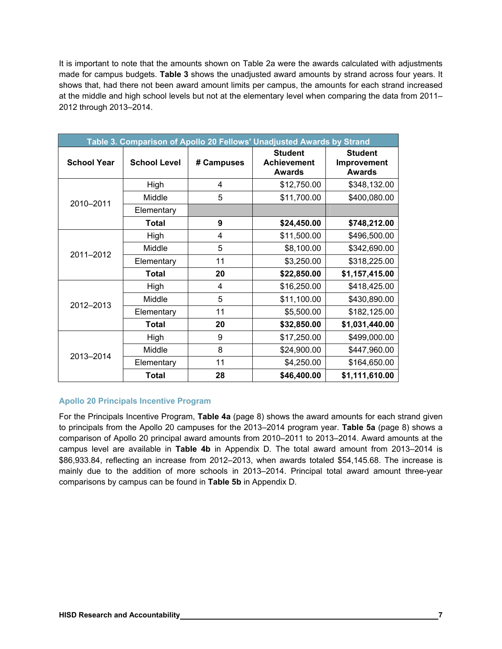It is important to note that the amounts shown on Table 2a were the awards calculated with adjustments made for campus budgets. **Table 3** shows the unadjusted award amounts by strand across four years. It shows that, had there not been award amount limits per campus, the amounts for each strand increased at the middle and high school levels but not at the elementary level when comparing the data from 2011– 2012 through 2013–2014.

|                    |                     |            | Table 3. Comparison of Apollo 20 Fellows' Unadjusted Awards by Strand |                                                |
|--------------------|---------------------|------------|-----------------------------------------------------------------------|------------------------------------------------|
| <b>School Year</b> | <b>School Level</b> | # Campuses | <b>Student</b><br><b>Achievement</b><br><b>Awards</b>                 | <b>Student</b><br>Improvement<br><b>Awards</b> |
|                    | High                | 4          | \$12,750.00                                                           | \$348,132.00                                   |
| 2010-2011          | Middle              | 5          | \$11,700.00                                                           | \$400,080.00                                   |
|                    | Elementary          |            |                                                                       |                                                |
|                    | <b>Total</b>        | 9          | \$24,450.00                                                           | \$748,212.00                                   |
|                    | High                | 4          | \$11,500.00                                                           | \$496,500.00                                   |
| 2011-2012          | Middle              | 5          | \$8,100.00                                                            | \$342,690.00                                   |
|                    | Elementary          | 11         | \$3,250.00                                                            | \$318,225.00                                   |
|                    | <b>Total</b>        | 20         | \$22,850.00                                                           | \$1,157,415.00                                 |
|                    | High                | 4          | \$16,250.00                                                           | \$418,425.00                                   |
| 2012-2013          | Middle              | 5          | \$11,100.00                                                           | \$430,890.00                                   |
|                    | Elementary          | 11         | \$5,500.00                                                            | \$182,125.00                                   |
|                    | <b>Total</b>        | 20         | \$32,850.00                                                           | \$1,031,440.00                                 |
|                    | High                | 9          | \$17,250.00                                                           | \$499,000.00                                   |
|                    | Middle              | 8          | \$24,900.00                                                           | \$447,960.00                                   |
| 2013-2014          | Elementary          | 11         | \$4,250.00                                                            | \$164,650.00                                   |
|                    | <b>Total</b>        | 28         | \$46,400.00                                                           | \$1,111,610.00                                 |

#### **Apollo 20 Principals Incentive Program**

For the Principals Incentive Program, **Table 4a** (page 8) shows the award amounts for each strand given to principals from the Apollo 20 campuses for the 2013–2014 program year. **Table 5a** (page 8) shows a comparison of Apollo 20 principal award amounts from 2010–2011 to 2013–2014. Award amounts at the campus level are available in **Table 4b** in Appendix D. The total award amount from 2013–2014 is \$86,933.84, reflecting an increase from 2012–2013, when awards totaled \$54,145.68. The increase is mainly due to the addition of more schools in 2013–2014. Principal total award amount three-year comparisons by campus can be found in **Table 5b** in Appendix D.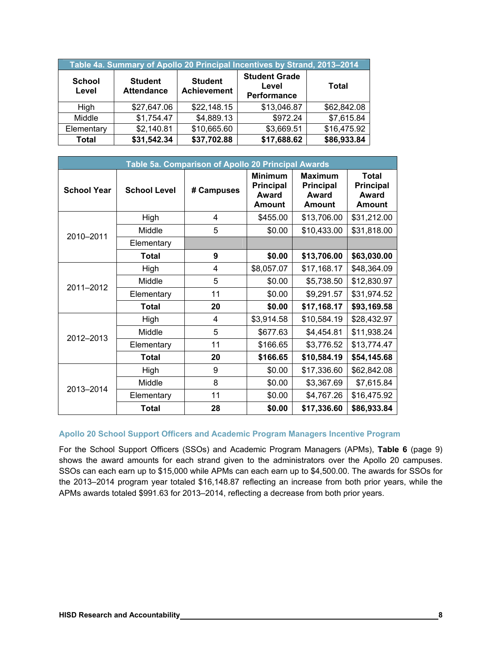| Table 4a. Summary of Apollo 20 Principal Incentives by Strand, 2013-2014 |                                     |                                      |                                              |             |  |  |  |
|--------------------------------------------------------------------------|-------------------------------------|--------------------------------------|----------------------------------------------|-------------|--|--|--|
| <b>School</b><br>Level                                                   | <b>Student</b><br><b>Attendance</b> | <b>Student</b><br><b>Achievement</b> | <b>Student Grade</b><br>Level<br>Performance | Total       |  |  |  |
| High                                                                     | \$27,647.06                         | \$22,148.15                          | \$13,046.87                                  | \$62,842.08 |  |  |  |
| Middle                                                                   | \$1,754.47                          | \$4,889.13                           | \$972.24                                     | \$7,615.84  |  |  |  |
| Elementary                                                               | \$2,140.81                          | \$10,665.60                          | \$3,669.51                                   | \$16,475.92 |  |  |  |
| <b>Total</b>                                                             | \$31,542.34                         | \$37,702.88                          | \$17,688.62                                  | \$86,933.84 |  |  |  |

|                    |                     | Table 5a. Comparison of Apollo 20 Principal Awards |                                                                     |                                                              |                                                            |
|--------------------|---------------------|----------------------------------------------------|---------------------------------------------------------------------|--------------------------------------------------------------|------------------------------------------------------------|
| <b>School Year</b> | <b>School Level</b> | # Campuses                                         | <b>Minimum</b><br><b>Principal</b><br><b>Award</b><br><b>Amount</b> | <b>Maximum</b><br><b>Principal</b><br>Award<br><b>Amount</b> | <b>Total</b><br><b>Principal</b><br>Award<br><b>Amount</b> |
|                    | High                | 4                                                  | \$455.00                                                            | \$13,706.00                                                  | \$31,212.00                                                |
| 2010-2011          | Middle              | 5                                                  | \$0.00                                                              | \$10,433.00                                                  | \$31,818.00                                                |
|                    | Elementary          |                                                    |                                                                     |                                                              |                                                            |
|                    | Total               | 9                                                  | \$0.00                                                              | \$13,706.00                                                  | \$63,030.00                                                |
|                    | High                | 4                                                  | \$8,057.07                                                          | \$17,168.17                                                  | \$48,364.09                                                |
| 2011-2012          | Middle              | 5                                                  | \$0.00                                                              | \$5,738.50                                                   | \$12,830.97                                                |
|                    | Elementary          | 11                                                 | \$0.00                                                              | \$9,291.57                                                   | \$31,974.52                                                |
|                    | <b>Total</b>        | 20                                                 | \$0.00                                                              | \$17,168.17                                                  | \$93,169.58                                                |
|                    | High                | 4                                                  | \$3,914.58                                                          | \$10,584.19                                                  | \$28,432.97                                                |
| 2012-2013          | Middle              | 5                                                  | \$677.63                                                            | \$4,454.81                                                   | \$11,938.24                                                |
|                    | Elementary          | 11                                                 | \$166.65                                                            | \$3,776.52                                                   | \$13,774.47                                                |
|                    | <b>Total</b>        | 20                                                 | \$166.65                                                            | \$10,584.19                                                  | \$54,145.68                                                |
|                    | High                | 9                                                  | \$0.00                                                              | \$17,336.60                                                  | \$62,842.08                                                |
| 2013-2014          | Middle              | 8                                                  | \$0.00                                                              | \$3,367.69                                                   | \$7,615.84                                                 |
|                    | Elementary          | 11                                                 | \$0.00                                                              | \$4,767.26                                                   | \$16,475.92                                                |
|                    | Total               | 28                                                 | \$0.00                                                              | \$17,336.60                                                  | \$86,933.84                                                |

#### **Apollo 20 School Support Officers and Academic Program Managers Incentive Program**

For the School Support Officers (SSOs) and Academic Program Managers (APMs), **Table 6** (page 9) shows the award amounts for each strand given to the administrators over the Apollo 20 campuses. SSOs can each earn up to \$15,000 while APMs can each earn up to \$4,500.00. The awards for SSOs for the 2013–2014 program year totaled \$16,148.87 reflecting an increase from both prior years, while the APMs awards totaled \$991.63 for 2013–2014, reflecting a decrease from both prior years.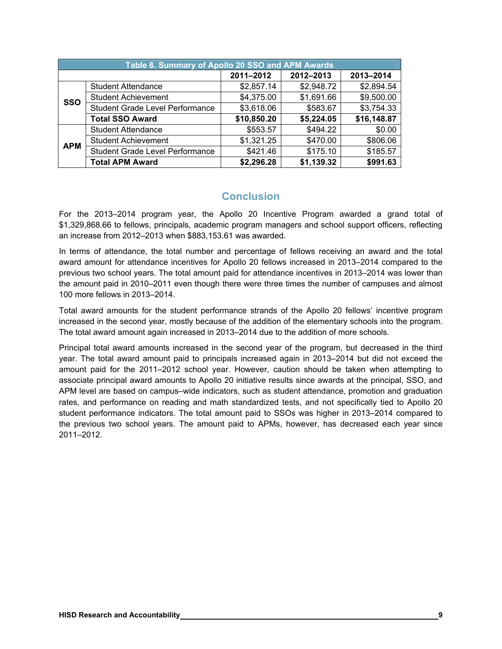|            | Table 6. Summary of Apollo 20 SSO and APM Awards |             |            |             |  |  |  |  |
|------------|--------------------------------------------------|-------------|------------|-------------|--|--|--|--|
|            |                                                  | 2011-2012   | 2012-2013  | 2013-2014   |  |  |  |  |
|            | <b>Student Attendance</b>                        | \$2,857.14  | \$2,948.72 | \$2,894.54  |  |  |  |  |
| <b>SSO</b> | <b>Student Achievement</b>                       | \$4,375.00  | \$1,691.66 | \$9,500.00  |  |  |  |  |
|            | <b>Student Grade Level Performance</b>           | \$3,618.06  | \$583.67   | \$3,754.33  |  |  |  |  |
|            | <b>Total SSO Award</b>                           | \$10,850.20 | \$5,224.05 | \$16,148.87 |  |  |  |  |
|            | <b>Student Attendance</b>                        | \$553.57    | \$494.22   | \$0.00      |  |  |  |  |
| <b>APM</b> | <b>Student Achievement</b>                       | \$1,321.25  | \$470.00   | \$806.06    |  |  |  |  |
|            | <b>Student Grade Level Performance</b>           | \$421.46    | \$175.10   | \$185.57    |  |  |  |  |
|            | <b>Total APM Award</b>                           | \$2,296.28  | \$1,139.32 | \$991.63    |  |  |  |  |

### **Conclusion**

For the 2013–2014 program year, the Apollo 20 Incentive Program awarded a grand total of \$1,329,868.66 to fellows, principals, academic program managers and school support officers, reflecting an increase from 2012–2013 when \$883,153.61 was awarded.

In terms of attendance, the total number and percentage of fellows receiving an award and the total award amount for attendance incentives for Apollo 20 fellows increased in 2013–2014 compared to the previous two school years. The total amount paid for attendance incentives in 2013–2014 was lower than the amount paid in 2010–2011 even though there were three times the number of campuses and almost 100 more fellows in 2013–2014.

Total award amounts for the student performance strands of the Apollo 20 fellows' incentive program increased in the second year, mostly because of the addition of the elementary schools into the program. The total award amount again increased in 2013–2014 due to the addition of more schools.

Principal total award amounts increased in the second year of the program, but decreased in the third year. The total award amount paid to principals increased again in 2013–2014 but did not exceed the amount paid for the 2011–2012 school year. However, caution should be taken when attempting to associate principal award amounts to Apollo 20 initiative results since awards at the principal, SSO, and APM level are based on campus–wide indicators, such as student attendance, promotion and graduation rates, and performance on reading and math standardized tests, and not specifically tied to Apollo 20 student performance indicators. The total amount paid to SSOs was higher in 2013–2014 compared to the previous two school years. The amount paid to APMs, however, has decreased each year since 2011–2012.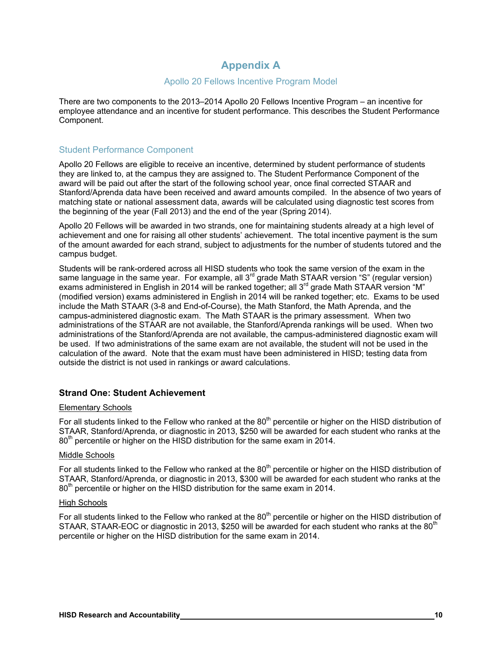# **Appendix A**

#### Apollo 20 Fellows Incentive Program Model

There are two components to the 2013–2014 Apollo 20 Fellows Incentive Program – an incentive for employee attendance and an incentive for student performance. This describes the Student Performance Component.

#### Student Performance Component

Apollo 20 Fellows are eligible to receive an incentive, determined by student performance of students they are linked to, at the campus they are assigned to. The Student Performance Component of the award will be paid out after the start of the following school year, once final corrected STAAR and Stanford/Aprenda data have been received and award amounts compiled. In the absence of two years of matching state or national assessment data, awards will be calculated using diagnostic test scores from the beginning of the year (Fall 2013) and the end of the year (Spring 2014).

Apollo 20 Fellows will be awarded in two strands, one for maintaining students already at a high level of achievement and one for raising all other students' achievement. The total incentive payment is the sum of the amount awarded for each strand, subject to adjustments for the number of students tutored and the campus budget.

Students will be rank-ordered across all HISD students who took the same version of the exam in the same language in the same year. For example, all  $3^{rd}$  grade Math STAAR version "S" (regular version) exams administered in English in 2014 will be ranked together; all  $3<sup>rd</sup>$  grade Math STAAR version "M" (modified version) exams administered in English in 2014 will be ranked together; etc. Exams to be used include the Math STAAR (3-8 and End-of-Course), the Math Stanford, the Math Aprenda, and the campus-administered diagnostic exam. The Math STAAR is the primary assessment. When two administrations of the STAAR are not available, the Stanford/Aprenda rankings will be used. When two administrations of the Stanford/Aprenda are not available, the campus-administered diagnostic exam will be used. If two administrations of the same exam are not available, the student will not be used in the calculation of the award. Note that the exam must have been administered in HISD; testing data from outside the district is not used in rankings or award calculations.

#### **Strand One: Student Achievement**

#### Elementary Schools

For all students linked to the Fellow who ranked at the 80<sup>th</sup> percentile or higher on the HISD distribution of STAAR, Stanford/Aprenda, or diagnostic in 2013, \$250 will be awarded for each student who ranks at the  $80<sup>th</sup>$  percentile or higher on the HISD distribution for the same exam in 2014.

#### Middle Schools

For all students linked to the Fellow who ranked at the 80<sup>th</sup> percentile or higher on the HISD distribution of STAAR, Stanford/Aprenda, or diagnostic in 2013, \$300 will be awarded for each student who ranks at the 80<sup>th</sup> percentile or higher on the HISD distribution for the same exam in 2014.

#### High Schools

For all students linked to the Fellow who ranked at the  $80<sup>th</sup>$  percentile or higher on the HISD distribution of STAAR, STAAR-EOC or diagnostic in 2013, \$250 will be awarded for each student who ranks at the 80<sup>th</sup> percentile or higher on the HISD distribution for the same exam in 2014.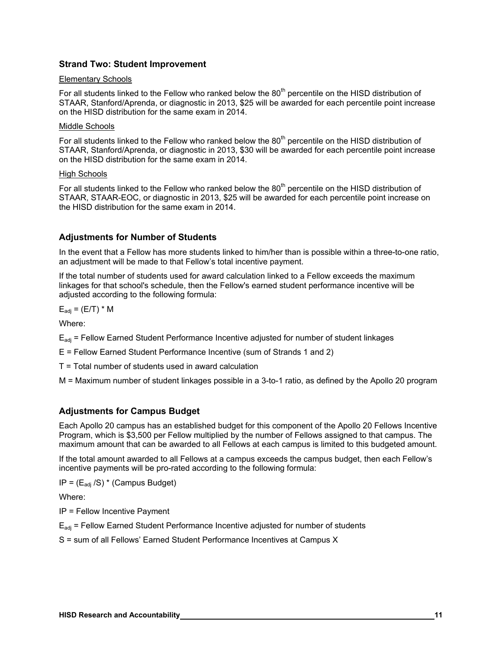#### **Strand Two: Student Improvement**

#### Elementary Schools

For all students linked to the Fellow who ranked below the 80<sup>th</sup> percentile on the HISD distribution of STAAR, Stanford/Aprenda, or diagnostic in 2013, \$25 will be awarded for each percentile point increase on the HISD distribution for the same exam in 2014.

#### Middle Schools

For all students linked to the Fellow who ranked below the 80<sup>th</sup> percentile on the HISD distribution of STAAR, Stanford/Aprenda, or diagnostic in 2013, \$30 will be awarded for each percentile point increase on the HISD distribution for the same exam in 2014.

#### High Schools

For all students linked to the Fellow who ranked below the 80<sup>th</sup> percentile on the HISD distribution of STAAR, STAAR-EOC, or diagnostic in 2013, \$25 will be awarded for each percentile point increase on the HISD distribution for the same exam in 2014.

#### **Adjustments for Number of Students**

In the event that a Fellow has more students linked to him/her than is possible within a three-to-one ratio, an adjustment will be made to that Fellow's total incentive payment.

If the total number of students used for award calculation linked to a Fellow exceeds the maximum linkages for that school's schedule, then the Fellow's earned student performance incentive will be adjusted according to the following formula:

 $E_{\text{adj}} = (E/T) * M$ 

Where:

 $E_{\text{adi}}$  = Fellow Earned Student Performance Incentive adjusted for number of student linkages

E = Fellow Earned Student Performance Incentive (sum of Strands 1 and 2)

T = Total number of students used in award calculation

M = Maximum number of student linkages possible in a 3-to-1 ratio, as defined by the Apollo 20 program

#### **Adjustments for Campus Budget**

Each Apollo 20 campus has an established budget for this component of the Apollo 20 Fellows Incentive Program, which is \$3,500 per Fellow multiplied by the number of Fellows assigned to that campus. The maximum amount that can be awarded to all Fellows at each campus is limited to this budgeted amount.

If the total amount awarded to all Fellows at a campus exceeds the campus budget, then each Fellow's incentive payments will be pro-rated according to the following formula:

 $IP = (E_{adi}/S) * (Campus Budget)$ 

Where:

IP = Fellow Incentive Payment

 $E_{\text{adi}}$  = Fellow Earned Student Performance Incentive adjusted for number of students

S = sum of all Fellows' Earned Student Performance Incentives at Campus X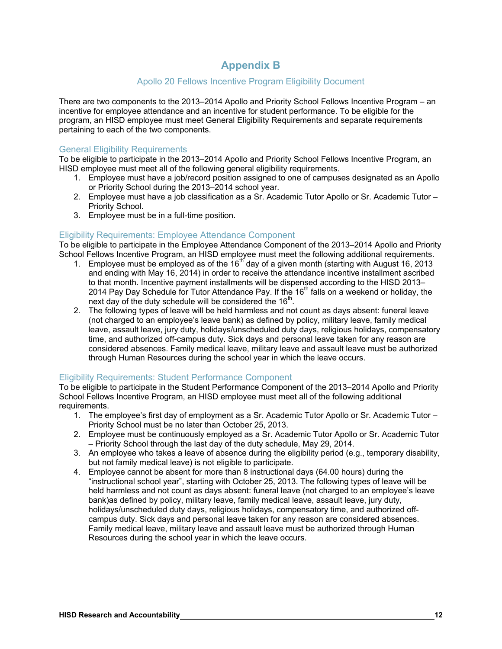# **Appendix B**

### Apollo 20 Fellows Incentive Program Eligibility Document

There are two components to the 2013–2014 Apollo and Priority School Fellows Incentive Program – an incentive for employee attendance and an incentive for student performance. To be eligible for the program, an HISD employee must meet General Eligibility Requirements and separate requirements pertaining to each of the two components.

#### General Eligibility Requirements

To be eligible to participate in the 2013–2014 Apollo and Priority School Fellows Incentive Program, an HISD employee must meet all of the following general eligibility requirements.

- 1. Employee must have a job/record position assigned to one of campuses designated as an Apollo or Priority School during the 2013–2014 school year.
- 2. Employee must have a job classification as a Sr. Academic Tutor Apollo or Sr. Academic Tutor Priority School.
- 3. Employee must be in a full-time position.

#### Eligibility Requirements: Employee Attendance Component

To be eligible to participate in the Employee Attendance Component of the 2013–2014 Apollo and Priority School Fellows Incentive Program, an HISD employee must meet the following additional requirements.

- 1. Employee must be employed as of the 16<sup>th</sup> day of a given month (starting with August 16, 2013 and ending with May 16, 2014) in order to receive the attendance incentive installment ascribed to that month. Incentive payment installments will be dispensed according to the HISD 2013– 2014 Pay Day Schedule for Tutor Attendance Pay. If the  $16<sup>th</sup>$  falls on a weekend or holiday, the next day of the duty schedule will be considered the  $16<sup>th</sup>$ .
- 2. The following types of leave will be held harmless and not count as days absent: funeral leave (not charged to an employee's leave bank) as defined by policy, military leave, family medical leave, assault leave, jury duty, holidays/unscheduled duty days, religious holidays, compensatory time, and authorized off-campus duty. Sick days and personal leave taken for any reason are considered absences. Family medical leave, military leave and assault leave must be authorized through Human Resources during the school year in which the leave occurs.

#### Eligibility Requirements: Student Performance Component

To be eligible to participate in the Student Performance Component of the 2013–2014 Apollo and Priority School Fellows Incentive Program, an HISD employee must meet all of the following additional requirements.

- 1. The employee's first day of employment as a Sr. Academic Tutor Apollo or Sr. Academic Tutor Priority School must be no later than October 25, 2013.
- 2. Employee must be continuously employed as a Sr. Academic Tutor Apollo or Sr. Academic Tutor – Priority School through the last day of the duty schedule, May 29, 2014.
- 3. An employee who takes a leave of absence during the eligibility period (e.g., temporary disability, but not family medical leave) is not eligible to participate.
- 4. Employee cannot be absent for more than 8 instructional days (64.00 hours) during the "instructional school year", starting with October 25, 2013. The following types of leave will be held harmless and not count as days absent: funeral leave (not charged to an employee's leave bank)as defined by policy, military leave, family medical leave, assault leave, jury duty, holidays/unscheduled duty days, religious holidays, compensatory time, and authorized offcampus duty. Sick days and personal leave taken for any reason are considered absences. Family medical leave, military leave and assault leave must be authorized through Human Resources during the school year in which the leave occurs.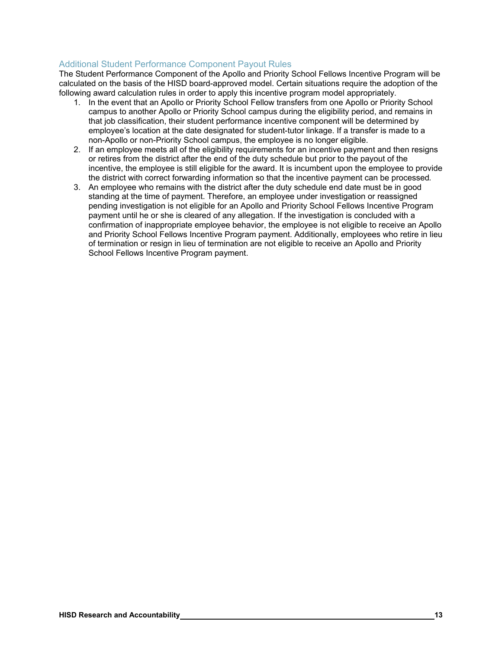#### Additional Student Performance Component Payout Rules

The Student Performance Component of the Apollo and Priority School Fellows Incentive Program will be calculated on the basis of the HISD board-approved model. Certain situations require the adoption of the following award calculation rules in order to apply this incentive program model appropriately.

- 1. In the event that an Apollo or Priority School Fellow transfers from one Apollo or Priority School campus to another Apollo or Priority School campus during the eligibility period, and remains in that job classification, their student performance incentive component will be determined by employee's location at the date designated for student-tutor linkage. If a transfer is made to a non-Apollo or non-Priority School campus, the employee is no longer eligible.
- 2. If an employee meets all of the eligibility requirements for an incentive payment and then resigns or retires from the district after the end of the duty schedule but prior to the payout of the incentive, the employee is still eligible for the award. It is incumbent upon the employee to provide the district with correct forwarding information so that the incentive payment can be processed*.*
- 3. An employee who remains with the district after the duty schedule end date must be in good standing at the time of payment. Therefore, an employee under investigation or reassigned pending investigation is not eligible for an Apollo and Priority School Fellows Incentive Program payment until he or she is cleared of any allegation. If the investigation is concluded with a confirmation of inappropriate employee behavior, the employee is not eligible to receive an Apollo and Priority School Fellows Incentive Program payment. Additionally, employees who retire in lieu of termination or resign in lieu of termination are not eligible to receive an Apollo and Priority School Fellows Incentive Program payment.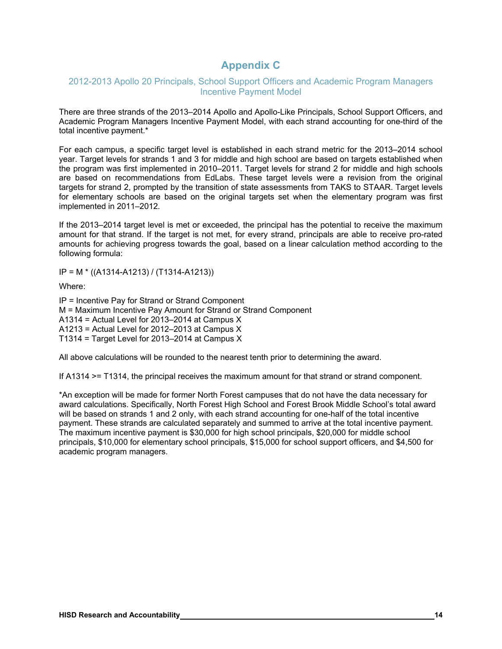# **Appendix C**

#### 2012-2013 Apollo 20 Principals, School Support Officers and Academic Program Managers Incentive Payment Model

There are three strands of the 2013–2014 Apollo and Apollo-Like Principals, School Support Officers, and Academic Program Managers Incentive Payment Model, with each strand accounting for one-third of the total incentive payment.\*

For each campus, a specific target level is established in each strand metric for the 2013–2014 school year. Target levels for strands 1 and 3 for middle and high school are based on targets established when the program was first implemented in 2010–2011. Target levels for strand 2 for middle and high schools are based on recommendations from EdLabs. These target levels were a revision from the original targets for strand 2, prompted by the transition of state assessments from TAKS to STAAR. Target levels for elementary schools are based on the original targets set when the elementary program was first implemented in 2011–2012.

If the 2013–2014 target level is met or exceeded, the principal has the potential to receive the maximum amount for that strand. If the target is not met, for every strand, principals are able to receive pro-rated amounts for achieving progress towards the goal, based on a linear calculation method according to the following formula:

IP = M \* ((A1314-A1213) / (T1314-A1213))

Where:

IP = Incentive Pay for Strand or Strand Component M = Maximum Incentive Pay Amount for Strand or Strand Component A1314 = Actual Level for 2013–2014 at Campus X A1213 = Actual Level for 2012–2013 at Campus X T1314 = Target Level for 2013–2014 at Campus X

All above calculations will be rounded to the nearest tenth prior to determining the award.

If A1314 >= T1314, the principal receives the maximum amount for that strand or strand component.

\*An exception will be made for former North Forest campuses that do not have the data necessary for award calculations. Specifically, North Forest High School and Forest Brook Middle School's total award will be based on strands 1 and 2 only, with each strand accounting for one-half of the total incentive payment. These strands are calculated separately and summed to arrive at the total incentive payment. The maximum incentive payment is \$30,000 for high school principals, \$20,000 for middle school principals, \$10,000 for elementary school principals, \$15,000 for school support officers, and \$4,500 for academic program managers.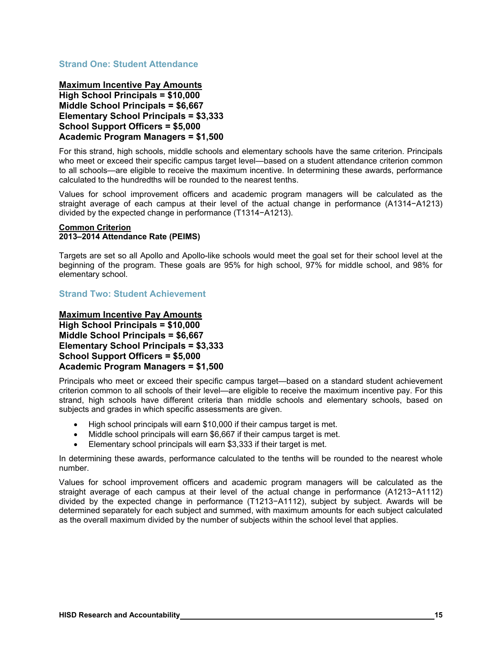#### **Strand One: Student Attendance**

**Maximum Incentive Pay Amounts High School Principals = \$10,000 Middle School Principals = \$6,667 Elementary School Principals = \$3,333 School Support Officers = \$5,000 Academic Program Managers = \$1,500**

For this strand, high schools, middle schools and elementary schools have the same criterion. Principals who meet or exceed their specific campus target level—based on a student attendance criterion common to all schools—are eligible to receive the maximum incentive. In determining these awards, performance calculated to the hundredths will be rounded to the nearest tenths.

Values for school improvement officers and academic program managers will be calculated as the straight average of each campus at their level of the actual change in performance (A1314−A1213) divided by the expected change in performance (T1314−A1213).

#### **Common Criterion 2013–2014 Attendance Rate (PEIMS)**

Targets are set so all Apollo and Apollo-like schools would meet the goal set for their school level at the beginning of the program. These goals are 95% for high school, 97% for middle school, and 98% for elementary school.

**Strand Two: Student Achievement** 

**Maximum Incentive Pay Amounts High School Principals = \$10,000 Middle School Principals = \$6,667 Elementary School Principals = \$3,333 School Support Officers = \$5,000 Academic Program Managers = \$1,500**

Principals who meet or exceed their specific campus target—based on a standard student achievement criterion common to all schools of their level—are eligible to receive the maximum incentive pay. For this strand, high schools have different criteria than middle schools and elementary schools, based on subjects and grades in which specific assessments are given.

- High school principals will earn \$10,000 if their campus target is met.
- Middle school principals will earn \$6,667 if their campus target is met.
- Elementary school principals will earn \$3,333 if their target is met.

In determining these awards, performance calculated to the tenths will be rounded to the nearest whole number.

Values for school improvement officers and academic program managers will be calculated as the straight average of each campus at their level of the actual change in performance (A1213−A1112) divided by the expected change in performance (T1213−A1112), subject by subject. Awards will be determined separately for each subject and summed, with maximum amounts for each subject calculated as the overall maximum divided by the number of subjects within the school level that applies.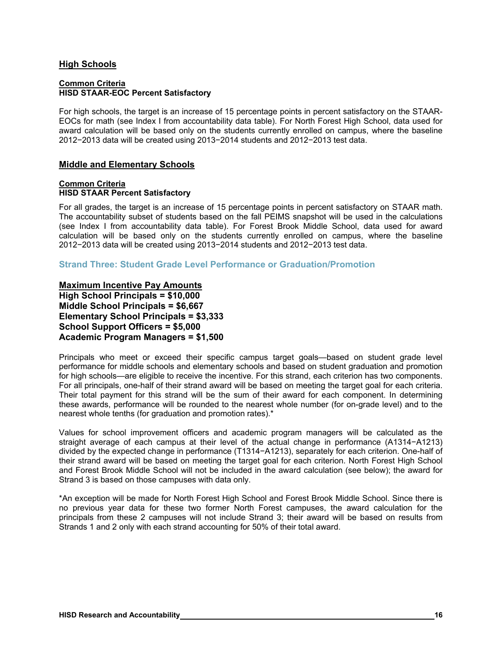#### **High Schools**

#### **Common Criteria HISD STAAR-EOC Percent Satisfactory**

For high schools, the target is an increase of 15 percentage points in percent satisfactory on the STAAR-EOCs for math (see Index I from accountability data table). For North Forest High School, data used for award calculation will be based only on the students currently enrolled on campus, where the baseline 2012−2013 data will be created using 2013−2014 students and 2012−2013 test data.

#### **Middle and Elementary Schools**

#### **Common Criteria HISD STAAR Percent Satisfactory**

For all grades, the target is an increase of 15 percentage points in percent satisfactory on STAAR math. The accountability subset of students based on the fall PEIMS snapshot will be used in the calculations (see Index I from accountability data table). For Forest Brook Middle School, data used for award calculation will be based only on the students currently enrolled on campus, where the baseline 2012−2013 data will be created using 2013−2014 students and 2012−2013 test data.

**Strand Three: Student Grade Level Performance or Graduation/Promotion** 

**Maximum Incentive Pay Amounts High School Principals = \$10,000 Middle School Principals = \$6,667 Elementary School Principals = \$3,333 School Support Officers = \$5,000 Academic Program Managers = \$1,500** 

Principals who meet or exceed their specific campus target goals—based on student grade level performance for middle schools and elementary schools and based on student graduation and promotion for high schools—are eligible to receive the incentive. For this strand, each criterion has two components. For all principals, one-half of their strand award will be based on meeting the target goal for each criteria. Their total payment for this strand will be the sum of their award for each component. In determining these awards, performance will be rounded to the nearest whole number (for on-grade level) and to the nearest whole tenths (for graduation and promotion rates).\*

Values for school improvement officers and academic program managers will be calculated as the straight average of each campus at their level of the actual change in performance (A1314−A1213) divided by the expected change in performance (T1314−A1213), separately for each criterion. One-half of their strand award will be based on meeting the target goal for each criterion. North Forest High School and Forest Brook Middle School will not be included in the award calculation (see below); the award for Strand 3 is based on those campuses with data only.

\*An exception will be made for North Forest High School and Forest Brook Middle School. Since there is no previous year data for these two former North Forest campuses, the award calculation for the principals from these 2 campuses will not include Strand 3; their award will be based on results from Strands 1 and 2 only with each strand accounting for 50% of their total award.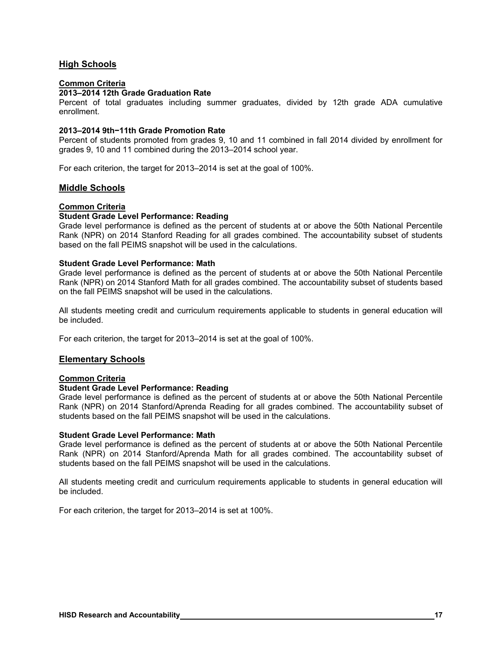#### **High Schools**

#### **Common Criteria**

#### **2013–2014 12th Grade Graduation Rate**

Percent of total graduates including summer graduates, divided by 12th grade ADA cumulative enrollment.

#### **2013–2014 9th−11th Grade Promotion Rate**

Percent of students promoted from grades 9, 10 and 11 combined in fall 2014 divided by enrollment for grades 9, 10 and 11 combined during the 2013–2014 school year.

For each criterion, the target for 2013–2014 is set at the goal of 100%.

#### **Middle Schools**

#### **Common Criteria**

#### **Student Grade Level Performance: Reading**

Grade level performance is defined as the percent of students at or above the 50th National Percentile Rank (NPR) on 2014 Stanford Reading for all grades combined. The accountability subset of students based on the fall PEIMS snapshot will be used in the calculations.

#### **Student Grade Level Performance: Math**

Grade level performance is defined as the percent of students at or above the 50th National Percentile Rank (NPR) on 2014 Stanford Math for all grades combined. The accountability subset of students based on the fall PEIMS snapshot will be used in the calculations.

All students meeting credit and curriculum requirements applicable to students in general education will be included.

For each criterion, the target for 2013–2014 is set at the goal of 100%.

#### **Elementary Schools**

#### **Common Criteria**

#### **Student Grade Level Performance: Reading**

Grade level performance is defined as the percent of students at or above the 50th National Percentile Rank (NPR) on 2014 Stanford/Aprenda Reading for all grades combined. The accountability subset of students based on the fall PEIMS snapshot will be used in the calculations.

#### **Student Grade Level Performance: Math**

Grade level performance is defined as the percent of students at or above the 50th National Percentile Rank (NPR) on 2014 Stanford/Aprenda Math for all grades combined. The accountability subset of students based on the fall PEIMS snapshot will be used in the calculations.

All students meeting credit and curriculum requirements applicable to students in general education will be included.

For each criterion, the target for 2013–2014 is set at 100%.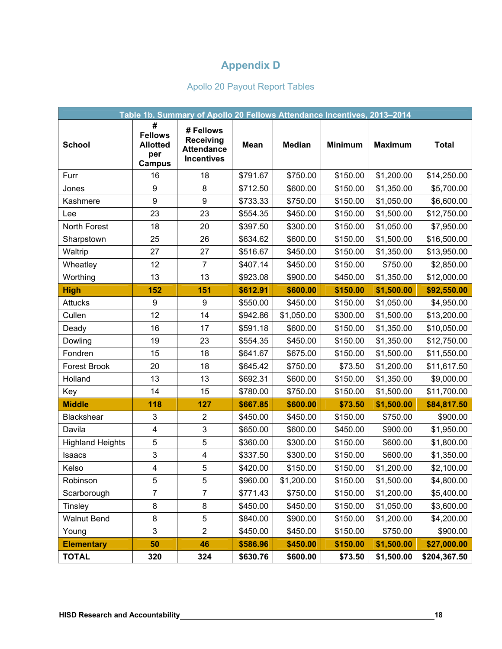# **Appendix D**

# Apollo 20 Payout Report Tables

|                         |                                                                | Table 1b. Summary of Apollo 20 Fellows Attendance Incentives, 2013-2014 |          |               |                |                |              |
|-------------------------|----------------------------------------------------------------|-------------------------------------------------------------------------|----------|---------------|----------------|----------------|--------------|
| <b>School</b>           | #<br><b>Fellows</b><br><b>Allotted</b><br>per<br><b>Campus</b> | # Fellows<br><b>Receiving</b><br><b>Attendance</b><br><b>Incentives</b> | Mean     | <b>Median</b> | <b>Minimum</b> | <b>Maximum</b> | <b>Total</b> |
| Furr                    | 16                                                             | 18                                                                      | \$791.67 | \$750.00      | \$150.00       | \$1,200.00     | \$14,250.00  |
| Jones                   | 9                                                              | 8                                                                       | \$712.50 | \$600.00      | \$150.00       | \$1,350.00     | \$5,700.00   |
| Kashmere                | 9                                                              | $\boldsymbol{9}$                                                        | \$733.33 | \$750.00      | \$150.00       | \$1,050.00     | \$6,600.00   |
| Lee                     | 23                                                             | 23                                                                      | \$554.35 | \$450.00      | \$150.00       | \$1,500.00     | \$12,750.00  |
| North Forest            | 18                                                             | 20                                                                      | \$397.50 | \$300.00      | \$150.00       | \$1,050.00     | \$7,950.00   |
| Sharpstown              | 25                                                             | 26                                                                      | \$634.62 | \$600.00      | \$150.00       | \$1,500.00     | \$16,500.00  |
| Waltrip                 | 27                                                             | 27                                                                      | \$516.67 | \$450.00      | \$150.00       | \$1,350.00     | \$13,950.00  |
| Wheatley                | 12                                                             | $\overline{7}$                                                          | \$407.14 | \$450.00      | \$150.00       | \$750.00       | \$2,850.00   |
| Worthing                | 13                                                             | 13                                                                      | \$923.08 | \$900.00      | \$450.00       | \$1,350.00     | \$12,000.00  |
| <b>High</b>             | 152                                                            | 151                                                                     | \$612.91 | \$600.00      | \$150.00       | \$1,500.00     | \$92,550.00  |
| <b>Attucks</b>          | 9                                                              | 9                                                                       | \$550.00 | \$450.00      | \$150.00       | \$1,050.00     | \$4,950.00   |
| Cullen                  | 12                                                             | 14                                                                      | \$942.86 | \$1,050.00    | \$300.00       | \$1,500.00     | \$13,200.00  |
| Deady                   | 16                                                             | 17                                                                      | \$591.18 | \$600.00      | \$150.00       | \$1,350.00     | \$10,050.00  |
| Dowling                 | 19                                                             | 23                                                                      | \$554.35 | \$450.00      | \$150.00       | \$1,350.00     | \$12,750.00  |
| Fondren                 | 15                                                             | 18                                                                      | \$641.67 | \$675.00      | \$150.00       | \$1,500.00     | \$11,550.00  |
| <b>Forest Brook</b>     | 20                                                             | 18                                                                      | \$645.42 | \$750.00      | \$73.50        | \$1,200.00     | \$11,617.50  |
| Holland                 | 13                                                             | 13                                                                      | \$692.31 | \$600.00      | \$150.00       | \$1,350.00     | \$9,000.00   |
| Key                     | 14                                                             | 15                                                                      | \$780.00 | \$750.00      | \$150.00       | \$1,500.00     | \$11,700.00  |
| <b>Middle</b>           | 118                                                            | 127                                                                     | \$667.85 | \$600.00      | \$73.50        | \$1,500.00     | \$84,817.50  |
| Blackshear              | 3                                                              | $\overline{2}$                                                          | \$450.00 | \$450.00      | \$150.00       | \$750.00       | \$900.00     |
| Davila                  | 4                                                              | 3                                                                       | \$650.00 | \$600.00      | \$450.00       | \$900.00       | \$1,950.00   |
| <b>Highland Heights</b> | 5                                                              | 5                                                                       | \$360.00 | \$300.00      | \$150.00       | \$600.00       | \$1,800.00   |
| Isaacs                  | 3                                                              | 4                                                                       | \$337.50 | \$300.00      | \$150.00       | \$600.00       | \$1,350.00   |
| Kelso                   | $\overline{\mathbf{4}}$                                        | 5                                                                       | \$420.00 | \$150.00      | \$150.00       | \$1,200.00     | \$2,100.00   |
| Robinson                | 5                                                              | 5                                                                       | \$960.00 | \$1,200.00    | \$150.00       | \$1,500.00     | \$4,800.00   |
| Scarborough             | $\overline{7}$                                                 | $\overline{7}$                                                          | \$771.43 | \$750.00      | \$150.00       | \$1,200.00     | \$5,400.00   |
| Tinsley                 | 8                                                              | 8                                                                       | \$450.00 | \$450.00      | \$150.00       | \$1,050.00     | \$3,600.00   |
| <b>Walnut Bend</b>      | $\bf 8$                                                        | 5                                                                       | \$840.00 | \$900.00      | \$150.00       | \$1,200.00     | \$4,200.00   |
| Young                   | 3                                                              | $\overline{2}$                                                          | \$450.00 | \$450.00      | \$150.00       | \$750.00       | \$900.00     |
| <b>Elementary</b>       | 50                                                             | 46                                                                      | \$586.96 | \$450.00      | \$150.00       | \$1,500.00     | \$27,000.00  |
| <b>TOTAL</b>            | 320                                                            | 324                                                                     | \$630.76 | \$600.00      | \$73.50        | \$1,500.00     | \$204,367.50 |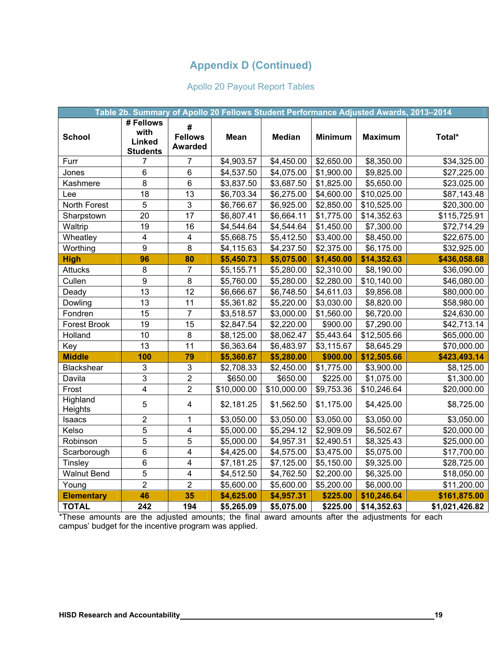### Apollo 20 Payout Report Tables

|                     |                                                |                                       | Table 2b. Summary of Apollo 20 Fellows Student Performance Adjusted Awards, 2013-2014 |               |                |                |                |
|---------------------|------------------------------------------------|---------------------------------------|---------------------------------------------------------------------------------------|---------------|----------------|----------------|----------------|
| <b>School</b>       | # Fellows<br>with<br>Linked<br><b>Students</b> | #<br><b>Fellows</b><br><b>Awarded</b> | <b>Mean</b>                                                                           | <b>Median</b> | <b>Minimum</b> | <b>Maximum</b> | Total*         |
| Furr                | 7                                              | 7                                     | \$4,903.57                                                                            | \$4,450.00    | \$2,650.00     | \$8,350.00     | \$34,325.00    |
| Jones               | 6                                              | $\overline{6}$                        | \$4,537.50                                                                            | \$4,075.00    | \$1,900.00     | \$9,825.00     | \$27,225.00    |
| Kashmere            | $\overline{8}$                                 | $\overline{6}$                        | \$3,837.50                                                                            | \$3,687.50    | \$1,825.00     | \$5,650.00     | \$23,025.00    |
| Lee                 | 18                                             | 13                                    | \$6,703.34                                                                            | \$6,275.00    | \$4,600.00     | \$10,025.00    | \$87,143.48    |
| North Forest        | 5                                              | 3                                     | \$6,766.67                                                                            | \$6,925.00    | \$2,850.00     | \$10,525.00    | \$20,300.00    |
| Sharpstown          | 20                                             | 17                                    | \$6,807.41                                                                            | \$6,664.11    | \$1,775.00     | \$14,352.63    | \$115,725.91   |
| Waltrip             | 19                                             | 16                                    | \$4,544.64                                                                            | \$4,544.64    | \$1,450.00     | \$7,300.00     | \$72,714.29    |
| Wheatley            | $\overline{\mathbf{4}}$                        | $\overline{\mathbf{4}}$               | \$5,668.75                                                                            | \$5,412.50    | \$3,400.00     | \$8,450.00     | \$22,675.00    |
| Worthing            | $\overline{9}$                                 | 8                                     | \$4,115.63                                                                            | \$4,237.50    | \$2,375.00     | \$6,175.00     | \$32,925.00    |
| <b>High</b>         | 96                                             | 80                                    | \$5,450.73                                                                            | \$5,075.00    | \$1,450.00     | \$14,352.63    | \$436,058.68   |
| <b>Attucks</b>      | 8                                              | $\overline{7}$                        | \$5,155.71                                                                            | \$5,280.00    | \$2,310.00     | \$8,190.00     | \$36,090.00    |
| Cullen              | 9                                              | 8                                     | \$5,760.00                                                                            | \$5,280.00    | \$2,280.00     | \$10,140.00    | \$46,080.00    |
| Deady               | 13                                             | 12                                    | \$6,666.67                                                                            | \$6,748.50    | \$4,611.03     | \$9,856.08     | \$80,000.00    |
| Dowling             | 13                                             | 11                                    | \$5,361.82                                                                            | \$5,220.00    | \$3,030.00     | \$8,820.00     | \$58,980.00    |
| Fondren             | 15                                             | $\overline{7}$                        | \$3,518.57                                                                            | \$3,000.00    | \$1,560.00     | \$6,720.00     | \$24,630.00    |
| <b>Forest Brook</b> | 19                                             | 15                                    | \$2,847.54                                                                            | \$2,220.00    | \$900.00       | \$7,290.00     | \$42,713.14    |
| Holland             | 10                                             | 8                                     | \$8,125.00                                                                            | \$8,062.47    | \$5,443.64     | \$12,505.66    | \$65,000.00    |
| Key                 | 13                                             | 11                                    | \$6,363.64                                                                            | \$6,483.97    | \$3,115.67     | \$8,645.29     | \$70,000.00    |
| <b>Middle</b>       | 100                                            | 79                                    | \$5,360.67                                                                            | \$5,280.00    | \$900.00       | \$12,505.66    | \$423,493.14   |
| <b>Blackshear</b>   | $\mathbf{3}$                                   | $\sqrt{3}$                            | \$2,708.33                                                                            | \$2,450.00    | \$1,775.00     | \$3,900.00     | \$8,125.00     |
| Davila              | $\overline{3}$                                 | $\overline{2}$                        | \$650.00                                                                              | \$650.00      | \$225.00       | \$1,075.00     | \$1,300.00     |
| Frost               | $\overline{\mathbf{4}}$                        | $\overline{2}$                        | \$10,000.00                                                                           | \$10,000.00   | \$9,753.36     | \$10,246.64    | \$20,000.00    |
| Highland<br>Heights | $\overline{5}$                                 | $\overline{\mathbf{4}}$               | \$2,181.25                                                                            | \$1,562.50    | \$1,175.00     | \$4,425.00     | \$8,725.00     |
| Isaacs              | $\overline{2}$                                 | $\overline{1}$                        | \$3,050.00                                                                            | \$3,050.00    | \$3,050.00     | \$3,050.00     | \$3,050.00     |
| Kelso               | $\overline{5}$                                 | $\overline{4}$                        | \$5,000.00                                                                            | \$5,294.12    | \$2,909.09     | \$6,502.67     | \$20,000.00    |
| Robinson            | 5                                              | $\overline{5}$                        | \$5,000.00                                                                            | \$4,957.31    | \$2,490.51     | \$8,325.43     | \$25,000.00    |
| Scarborough         | 6                                              | $\overline{\mathbf{4}}$               | \$4,425.00                                                                            | \$4,575.00    | \$3,475.00     | \$5,075.00     | \$17,700.00    |
| Tinsley             | 6                                              | $\overline{4}$                        | \$7,181.25                                                                            | \$7,125.00    | \$5,150.00     | \$9,325.00     | \$28,725.00    |
| <b>Walnut Bend</b>  | 5                                              | $\overline{\mathbf{4}}$               | \$4,512.50                                                                            | \$4,762.50    | \$2,200.00     | \$6,325.00     | \$18,050.00    |
| Young               | $\overline{2}$                                 | $\overline{2}$                        | \$5,600.00                                                                            | \$5,600.00    | \$5,200.00     | \$6,000.00     | \$11,200.00    |
| <b>Elementary</b>   | 46                                             | 35                                    | \$4,625.00                                                                            | \$4,957.31    | \$225.00       | \$10,246.64    | \$161,875.00   |
| <b>TOTAL</b>        | 242                                            | 194                                   | \$5,265.09                                                                            | \$5,075.00    | \$225.00       | \$14,352.63    | \$1,021,426.82 |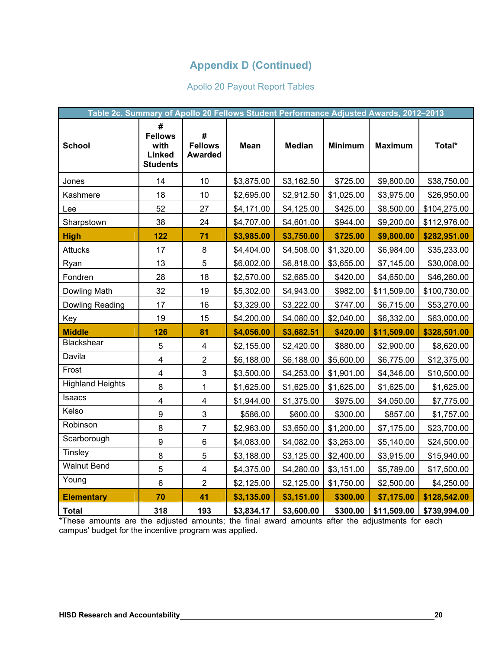# Apollo 20 Payout Report Tables

| Table 2c. Summary of Apollo 20 Fellows Student Performance Adjusted Awards, 2012-2013 |                                                          |                                       |             |               |                |                |              |
|---------------------------------------------------------------------------------------|----------------------------------------------------------|---------------------------------------|-------------|---------------|----------------|----------------|--------------|
| <b>School</b>                                                                         | #<br><b>Fellows</b><br>with<br>Linked<br><b>Students</b> | #<br><b>Fellows</b><br><b>Awarded</b> | <b>Mean</b> | <b>Median</b> | <b>Minimum</b> | <b>Maximum</b> | Total*       |
| Jones                                                                                 | 14                                                       | 10                                    | \$3,875.00  | \$3,162.50    | \$725.00       | \$9,800.00     | \$38,750.00  |
| Kashmere                                                                              | 18                                                       | 10                                    | \$2,695.00  | \$2,912.50    | \$1,025.00     | \$3,975.00     | \$26,950.00  |
| Lee                                                                                   | 52                                                       | 27                                    | \$4,171.00  | \$4,125.00    | \$425.00       | \$8,500.00     | \$104,275.00 |
| Sharpstown                                                                            | 38                                                       | 24                                    | \$4,707.00  | \$4,601.00    | \$944.00       | \$9,200.00     | \$112,976.00 |
| <b>High</b>                                                                           | 122                                                      | 71                                    | \$3,985.00  | \$3,750.00    | \$725.00       | \$9,800.00     | \$282,951.00 |
| <b>Attucks</b>                                                                        | 17                                                       | 8                                     | \$4,404.00  | \$4,508.00    | \$1,320.00     | \$6,984.00     | \$35,233.00  |
| Ryan                                                                                  | 13                                                       | 5                                     | \$6,002.00  | \$6,818.00    | \$3,655.00     | \$7,145.00     | \$30,008.00  |
| Fondren                                                                               | 28                                                       | 18                                    | \$2,570.00  | \$2,685.00    | \$420.00       | \$4,650.00     | \$46,260.00  |
| Dowling Math                                                                          | 32                                                       | 19                                    | \$5,302.00  | \$4,943.00    | \$982.00       | \$11,509.00    | \$100,730.00 |
| Dowling Reading                                                                       | 17                                                       | 16                                    | \$3,329.00  | \$3,222.00    | \$747.00       | \$6,715.00     | \$53,270.00  |
| Key                                                                                   | 19                                                       | 15                                    | \$4,200.00  | \$4,080.00    | \$2,040.00     | \$6,332.00     | \$63,000.00  |
| <b>Middle</b>                                                                         | 126                                                      | 81                                    | \$4,056.00  | \$3,682.51    | \$420.00       | \$11,509.00    | \$328,501.00 |
| Blackshear                                                                            | 5                                                        | $\overline{\mathbf{4}}$               | \$2,155.00  | \$2,420.00    | \$880.00       | \$2,900.00     | \$8,620.00   |
| Davila                                                                                | $\overline{\mathbf{4}}$                                  | $\overline{2}$                        | \$6,188.00  | \$6,188.00    | \$5,600.00     | \$6,775.00     | \$12,375.00  |
| Frost                                                                                 | $\overline{\mathbf{4}}$                                  | 3                                     | \$3,500.00  | \$4,253.00    | \$1,901.00     | \$4,346.00     | \$10,500.00  |
| <b>Highland Heights</b>                                                               | 8                                                        | 1                                     | \$1,625.00  | \$1,625.00    | \$1,625.00     | \$1,625.00     | \$1,625.00   |
| Isaacs                                                                                | $\overline{\mathbf{4}}$                                  | $\overline{4}$                        | \$1,944.00  | \$1,375.00    | \$975.00       | \$4,050.00     | \$7,775.00   |
| Kelso                                                                                 | 9                                                        | 3                                     | \$586.00    | \$600.00      | \$300.00       | \$857.00       | \$1,757.00   |
| Robinson                                                                              | 8                                                        | $\overline{7}$                        | \$2,963.00  | \$3,650.00    | \$1,200.00     | \$7,175.00     | \$23,700.00  |
| Scarborough                                                                           | $\boldsymbol{9}$                                         | 6                                     | \$4,083.00  | \$4,082.00    | \$3,263.00     | \$5,140.00     | \$24,500.00  |
| <b>Tinsley</b>                                                                        | 8                                                        | 5                                     | \$3,188.00  | \$3,125.00    | \$2,400.00     | \$3,915.00     | \$15,940.00  |
| <b>Walnut Bend</b>                                                                    | 5                                                        | $\overline{\mathbf{4}}$               | \$4,375.00  | \$4,280.00    | \$3,151.00     | \$5,789.00     | \$17,500.00  |
| Young                                                                                 | $6\phantom{1}$                                           | $\overline{2}$                        | \$2,125.00  | \$2,125.00    | \$1,750.00     | \$2,500.00     | \$4,250.00   |
| <b>Elementary</b>                                                                     | 70                                                       | 41                                    | \$3,135.00  | \$3,151.00    | \$300.00       | \$7,175.00     | \$128,542.00 |
| <b>Total</b>                                                                          | 318                                                      | 193                                   | \$3,834.17  | \$3,600.00    | \$300.00       | \$11,509.00    | \$739,994.00 |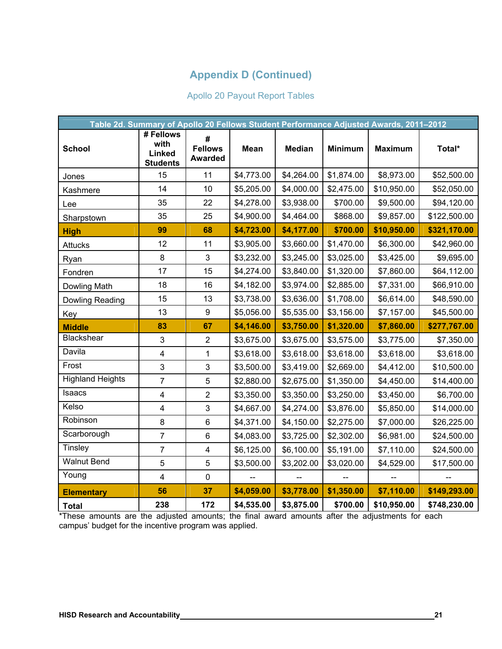# Apollo 20 Payout Report Tables

|                         | Table 2d. Summary of Apollo 20 Fellows Student Performance Adjusted Awards, 2011-2012 |                                       |                          |                |                          |                          |                          |
|-------------------------|---------------------------------------------------------------------------------------|---------------------------------------|--------------------------|----------------|--------------------------|--------------------------|--------------------------|
| <b>School</b>           | # Fellows<br>with<br>Linked<br><b>Students</b>                                        | #<br><b>Fellows</b><br><b>Awarded</b> | <b>Mean</b>              | <b>Median</b>  | <b>Minimum</b>           | <b>Maximum</b>           | Total*                   |
| Jones                   | 15                                                                                    | 11                                    | \$4,773.00               | \$4,264.00     | \$1,874.00               | \$8,973.00               | \$52,500.00              |
| Kashmere                | 14                                                                                    | 10                                    | \$5,205.00               | \$4,000.00     | \$2,475.00               | \$10,950.00              | \$52,050.00              |
| Lee                     | 35                                                                                    | 22                                    | \$4,278.00               | \$3,938.00     | \$700.00                 | \$9,500.00               | \$94,120.00              |
| Sharpstown              | 35                                                                                    | 25                                    | \$4,900.00               | \$4,464.00     | \$868.00                 | \$9,857.00               | \$122,500.00             |
| <b>High</b>             | 99                                                                                    | 68                                    | \$4,723.00               | \$4,177.00     | \$700.00                 | \$10,950.00              | \$321,170.00             |
| Attucks                 | 12                                                                                    | 11                                    | \$3,905.00               | \$3,660.00     | \$1,470.00               | \$6,300.00               | \$42,960.00              |
| Ryan                    | 8                                                                                     | 3                                     | \$3,232.00               | \$3,245.00     | \$3,025.00               | \$3,425.00               | \$9,695.00               |
| Fondren                 | 17                                                                                    | 15                                    | \$4,274.00               | \$3,840.00     | \$1,320.00               | \$7,860.00               | \$64,112.00              |
| Dowling Math            | 18                                                                                    | 16                                    | \$4,182.00               | \$3,974.00     | \$2,885.00               | \$7,331.00               | \$66,910.00              |
| Dowling Reading         | 15                                                                                    | 13                                    | \$3,738.00               | \$3,636.00     | \$1,708.00               | \$6,614.00               | \$48,590.00              |
| Key                     | 13                                                                                    | 9                                     | \$5,056.00               | \$5,535.00     | \$3,156.00               | \$7,157.00               | \$45,500.00              |
| <b>Middle</b>           | 83                                                                                    | 67                                    | \$4,146.00               | \$3,750.00     | \$1,320.00               | \$7,860.00               | \$277,767.00             |
| Blackshear              | 3                                                                                     | $\overline{2}$                        | \$3,675.00               | \$3,675.00     | \$3,575.00               | \$3,775.00               | \$7,350.00               |
| Davila                  | $\overline{\mathbf{4}}$                                                               | $\mathbf{1}$                          | \$3,618.00               | \$3,618.00     | \$3,618.00               | \$3,618.00               | \$3,618.00               |
| Frost                   | 3                                                                                     | 3                                     | \$3,500.00               | \$3,419.00     | \$2,669.00               | \$4,412.00               | \$10,500.00              |
| <b>Highland Heights</b> | $\overline{7}$                                                                        | 5                                     | \$2,880.00               | \$2,675.00     | \$1,350.00               | \$4,450.00               | \$14,400.00              |
| Isaacs                  | $\overline{\mathbf{4}}$                                                               | $\overline{2}$                        | \$3,350.00               | \$3,350.00     | \$3,250.00               | \$3,450.00               | \$6,700.00               |
| Kelso                   | 4                                                                                     | 3                                     | \$4,667.00               | \$4,274.00     | \$3,876.00               | \$5,850.00               | \$14,000.00              |
| Robinson                | 8                                                                                     | 6                                     | \$4,371.00               | \$4,150.00     | \$2,275.00               | \$7,000.00               | \$26,225.00              |
| Scarborough             | $\overline{7}$                                                                        | $6\phantom{1}$                        | \$4,083.00               | \$3,725.00     | \$2,302.00               | \$6,981.00               | \$24,500.00              |
| <b>Tinsley</b>          | $\overline{7}$                                                                        | $\overline{\mathbf{4}}$               | \$6,125.00               | \$6,100.00     | \$5,191.00               | \$7,110.00               | \$24,500.00              |
| <b>Walnut Bend</b>      | 5                                                                                     | 5                                     | \$3,500.00               | \$3,202.00     | \$3,020.00               | \$4,529.00               | \$17,500.00              |
| Young                   | $\overline{4}$                                                                        | $\mathbf 0$                           | $\overline{\phantom{a}}$ | $\overline{a}$ | $\overline{\phantom{0}}$ | $\overline{\phantom{a}}$ | $\overline{\phantom{a}}$ |
| <b>Elementary</b>       | 56                                                                                    | 37                                    | \$4,059.00               | \$3,778.00     | \$1,350.00               | \$7,110.00               | \$149,293.00             |
| <b>Total</b>            | 238                                                                                   | 172                                   | \$4,535.00               | \$3,875.00     | \$700.00                 | \$10,950.00              | \$748,230.00             |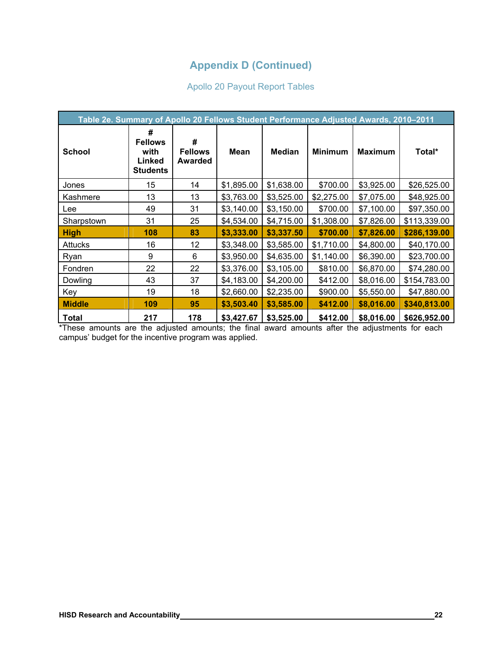# Apollo 20 Payout Report Tables

|                | Table 2e. Summary of Apollo 20 Fellows Student Performance Adjusted Awards, 2010-2011 |                                       |             |               |                |                |              |  |
|----------------|---------------------------------------------------------------------------------------|---------------------------------------|-------------|---------------|----------------|----------------|--------------|--|
| <b>School</b>  | #<br><b>Fellows</b><br>with<br>Linked<br><b>Students</b>                              | #<br><b>Fellows</b><br><b>Awarded</b> | <b>Mean</b> | <b>Median</b> | <b>Minimum</b> | <b>Maximum</b> | Total*       |  |
| Jones          | 15                                                                                    | 14                                    | \$1,895.00  | \$1,638.00    | \$700.00       | \$3,925.00     | \$26,525.00  |  |
| Kashmere       | 13                                                                                    | 13                                    | \$3,763.00  | \$3,525.00    | \$2,275.00     | \$7,075.00     | \$48,925.00  |  |
| Lee            | 49                                                                                    | 31                                    | \$3,140.00  | \$3,150.00    | \$700.00       | \$7,100.00     | \$97,350.00  |  |
| Sharpstown     | 31                                                                                    | 25                                    | \$4,534.00  | \$4,715.00    | \$1,308.00     | \$7,826.00     | \$113,339.00 |  |
| <b>High</b>    | 108                                                                                   | 83                                    | \$3,333.00  | \$3,337.50    | \$700.00       | \$7,826.00     | \$286,139.00 |  |
| <b>Attucks</b> | 16                                                                                    | 12                                    | \$3,348.00  | \$3,585.00    | \$1,710.00     | \$4,800.00     | \$40,170.00  |  |
| Ryan           | 9                                                                                     | 6                                     | \$3,950.00  | \$4,635.00    | \$1,140.00     | \$6,390.00     | \$23,700.00  |  |
| Fondren        | 22                                                                                    | 22                                    | \$3,376.00  | \$3,105.00    | \$810.00       | \$6,870.00     | \$74,280.00  |  |
| Dowling        | 43                                                                                    | 37                                    | \$4,183.00  | \$4,200.00    | \$412.00       | \$8,016.00     | \$154,783.00 |  |
| Key            | 19                                                                                    | 18                                    | \$2,660.00  | \$2,235.00    | \$900.00       | \$5,550.00     | \$47,880.00  |  |
| <b>Middle</b>  | 109                                                                                   | 95                                    | \$3,503.40  | \$3,585.00    | \$412.00       | \$8,016.00     | \$340,813.00 |  |
| <b>Total</b>   | 217                                                                                   | 178                                   | \$3,427.67  | \$3,525.00    | \$412.00       | \$8,016.00     | \$626,952.00 |  |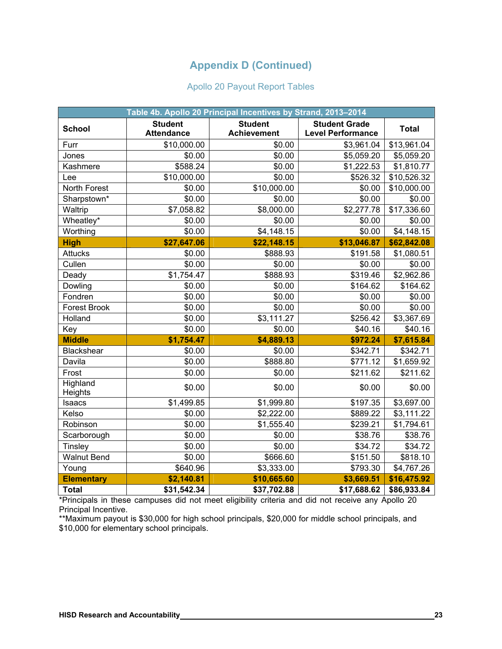### Apollo 20 Payout Report Tables

|                     |                                     | Table 4b. Apollo 20 Principal Incentives by Strand, 2013-2014 |                                                  |                        |
|---------------------|-------------------------------------|---------------------------------------------------------------|--------------------------------------------------|------------------------|
| <b>School</b>       | <b>Student</b><br><b>Attendance</b> | <b>Student</b><br><b>Achievement</b>                          | <b>Student Grade</b><br><b>Level Performance</b> | <b>Total</b>           |
| Furr                | \$10,000.00                         | \$0.00                                                        | \$3,961.04                                       | \$13,961.04            |
| Jones               | \$0.00                              | \$0.00                                                        | \$5,059.20                                       | \$5,059.20             |
| Kashmere            | \$588.24                            | \$0.00                                                        | \$1,222.53                                       | \$1,810.77             |
| Lee                 | \$10,000.00                         | \$0.00                                                        | \$526.32                                         | \$10,526.32            |
| North Forest        | \$0.00                              | \$10,000.00                                                   | \$0.00                                           | \$10,000.00            |
| Sharpstown*         | \$0.00                              | \$0.00                                                        | \$0.00                                           | \$0.00                 |
| Waltrip             | \$7,058.82                          | \$8,000.00                                                    | \$2,277.78                                       | \$17,336.60            |
| Wheatley*           | \$0.00                              | \$0.00                                                        | \$0.00                                           | \$0.00                 |
| Worthing            | \$0.00                              | \$4,148.15                                                    | \$0.00                                           | \$4,148.15             |
| <b>High</b>         | \$27,647.06                         | \$22,148.15                                                   | \$13,046.87                                      | \$62,842.08            |
| <b>Attucks</b>      | \$0.00                              | \$888.93                                                      | \$191.58                                         | \$1,080.51             |
| Cullen              | \$0.00                              | \$0.00                                                        | \$0.00                                           | \$0.00                 |
| Deady               | \$1,754.47                          | \$888.93                                                      | \$319.46                                         | \$2,962.86             |
| Dowling             | \$0.00                              | \$0.00                                                        | \$164.62                                         | \$164.62               |
| Fondren             | \$0.00                              | \$0.00                                                        | \$0.00                                           | \$0.00                 |
| <b>Forest Brook</b> | \$0.00                              | \$0.00                                                        | \$0.00                                           | \$0.00                 |
| Holland             | \$0.00                              | \$3,111.27                                                    | \$256.42                                         | $\overline{$3,367.69}$ |
| Key                 | \$0.00                              | \$0.00                                                        | \$40.16                                          | \$40.16                |
| <b>Middle</b>       | \$1,754.47                          | \$4,889.13                                                    | \$972.24                                         | \$7,615.84             |
| Blackshear          | \$0.00                              | \$0.00                                                        | \$342.71                                         | \$342.71               |
| Davila              | \$0.00                              | \$888.80                                                      | \$771.12                                         | \$1,659.92             |
| Frost               | \$0.00                              | \$0.00                                                        | \$211.62                                         | \$211.62               |
| Highland<br>Heights | \$0.00                              | \$0.00                                                        | \$0.00                                           | \$0.00                 |
| Isaacs              | \$1,499.85                          | \$1,999.80                                                    | \$197.35                                         | \$3,697.00             |
| Kelso               | \$0.00                              | \$2,222.00                                                    | \$889.22                                         | \$3,111.22             |
| Robinson            | \$0.00                              | \$1,555.40                                                    | \$239.21                                         | \$1,794.61             |
| Scarborough         | \$0.00                              | \$0.00                                                        | \$38.76                                          | \$38.76                |
| Tinsley             | \$0.00                              | \$0.00                                                        | \$34.72                                          | \$34.72                |
| <b>Walnut Bend</b>  | \$0.00                              | \$666.60                                                      | \$151.50                                         | \$818.10               |
| Young               | \$640.96                            | \$3,333.00                                                    | \$793.30                                         | \$4,767.26             |
| <b>Elementary</b>   | \$2,140.81                          | \$10,665.60                                                   | \$3,669.51                                       | \$16,475.92            |
| <b>Total</b>        | \$31,542.34                         | \$37,702.88                                                   | \$17,688.62                                      | \$86,933.84            |

\*Principals in these campuses did not meet eligibility criteria and did not receive any Apollo 20 Principal Incentive.

\*\*Maximum payout is \$30,000 for high school principals, \$20,000 for middle school principals, and \$10,000 for elementary school principals.